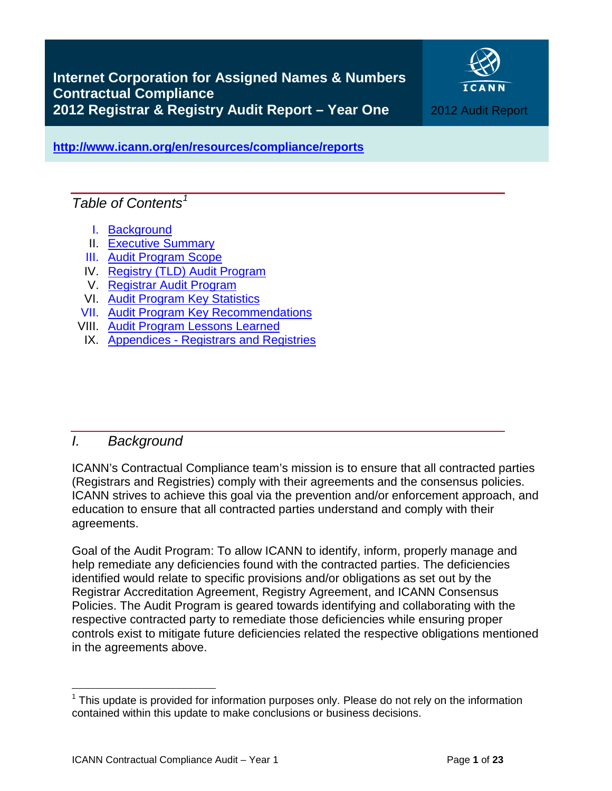

<span id="page-0-2"></span>**<http://www.icann.org/en/resources/compliance/reports>**

# *Table of Contents[1](#page-0-1)*

- I. [Background](#page-0-0)
- II. [Executive Summary](#page-1-0)
- III. [Audit Program Scope](#page-2-0)
- IV. [Registry \(TLD\) Audit Program](#page-4-0)
- V. [Registrar Audit Program](#page-5-0)
- VI. [Audit Program Key Statistics](#page-9-0)
- VII. [Audit Program Key Recommendations](#page-11-0)
- VIII. [Audit Program Lessons Learned](#page-12-0)
- IX. Appendices [Registrars and Registries](#page-14-0)

# <span id="page-0-0"></span>*I. Background*

ICANN's Contractual Compliance team's mission is to ensure that all contracted parties (Registrars and Registries) comply with their agreements and the consensus policies. ICANN strives to achieve this goal via the prevention and/or enforcement approach, and education to ensure that all contracted parties understand and comply with their agreements.

Goal of the Audit Program: To allow ICANN to identify, inform, properly manage and help remediate any deficiencies found with the contracted parties. The deficiencies identified would relate to specific provisions and/or obligations as set out by the Registrar Accreditation Agreement, Registry Agreement, and ICANN Consensus Policies. The Audit Program is geared towards identifying and collaborating with the respective contracted party to remediate those deficiencies while ensuring proper controls exist to mitigate future deficiencies related the respective obligations mentioned in the agreements above.

<span id="page-0-1"></span> $1$  This update is provided for information purposes only. Please do not rely on the information contained within this update to make conclusions or business decisions.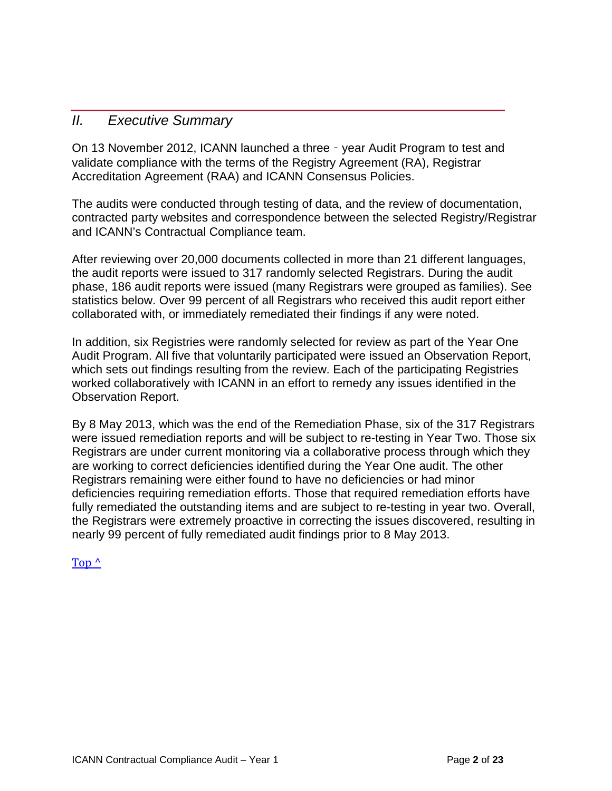## <span id="page-1-0"></span>*II. Executive Summary*

On 13 November 2012, ICANN launched a three‐year Audit Program to test and validate compliance with the terms of the Registry Agreement (RA), Registrar Accreditation Agreement (RAA) and ICANN Consensus Policies.

The audits were conducted through testing of data, and the review of documentation, contracted party websites and correspondence between the selected Registry/Registrar and ICANN's Contractual Compliance team.

After reviewing over 20,000 documents collected in more than 21 different languages, the audit reports were issued to 317 randomly selected Registrars. During the audit phase, 186 audit reports were issued (many Registrars were grouped as families). See statistics below. Over 99 percent of all Registrars who received this audit report either collaborated with, or immediately remediated their findings if any were noted.

In addition, six Registries were randomly selected for review as part of the Year One Audit Program. All five that voluntarily participated were issued an Observation Report, which sets out findings resulting from the review. Each of the participating Registries worked collaboratively with ICANN in an effort to remedy any issues identified in the Observation Report.

By 8 May 2013, which was the end of the Remediation Phase, six of the 317 Registrars were issued remediation reports and will be subject to re-testing in Year Two. Those six Registrars are under current monitoring via a collaborative process through which they are working to correct deficiencies identified during the Year One audit. The other Registrars remaining were either found to have no deficiencies or had minor deficiencies requiring remediation efforts. Those that required remediation efforts have fully remediated the outstanding items and are subject to re-testing in year two. Overall, the Registrars were extremely proactive in correcting the issues discovered, resulting in nearly 99 percent of fully remediated audit findings prior to 8 May 2013.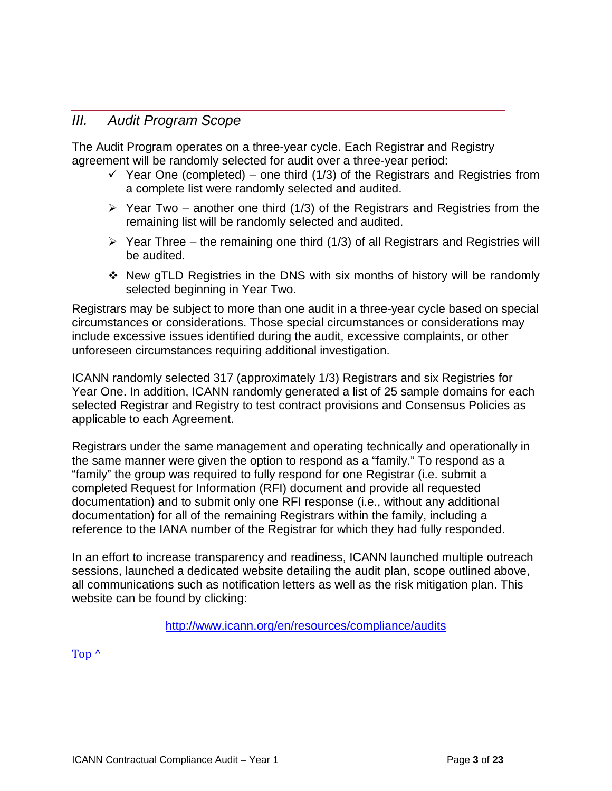## <span id="page-2-0"></span>*III. Audit Program Scope*

The Audit Program operates on a three-year cycle. Each Registrar and Registry agreement will be randomly selected for audit over a three-year period:

- $\checkmark$  Year One (completed) one third (1/3) of the Registrars and Registries from a complete list were randomly selected and audited.
- $\triangleright$  Year Two another one third (1/3) of the Registrars and Registries from the remaining list will be randomly selected and audited.
- $\triangleright$  Year Three the remaining one third (1/3) of all Registrars and Registries will be audited.
- New gTLD Registries in the DNS with six months of history will be randomly selected beginning in Year Two.

Registrars may be subject to more than one audit in a three-year cycle based on special circumstances or considerations. Those special circumstances or considerations may include excessive issues identified during the audit, excessive complaints, or other unforeseen circumstances requiring additional investigation.

ICANN randomly selected 317 (approximately 1/3) Registrars and six Registries for Year One. In addition, ICANN randomly generated a list of 25 sample domains for each selected Registrar and Registry to test contract provisions and Consensus Policies as applicable to each Agreement.

Registrars under the same management and operating technically and operationally in the same manner were given the option to respond as a "family." To respond as a "family" the group was required to fully respond for one Registrar (i.e. submit a completed Request for Information (RFI) document and provide all requested documentation) and to submit only one RFI response (i.e., without any additional documentation) for all of the remaining Registrars within the family, including a reference to the IANA number of the Registrar for which they had fully responded.

In an effort to increase transparency and readiness, ICANN launched multiple outreach sessions, launched a dedicated website detailing the audit plan, scope outlined above, all communications such as notification letters as well as the risk mitigation plan. This website can be found by clicking:

<http://www.icann.org/en/resources/compliance/audits>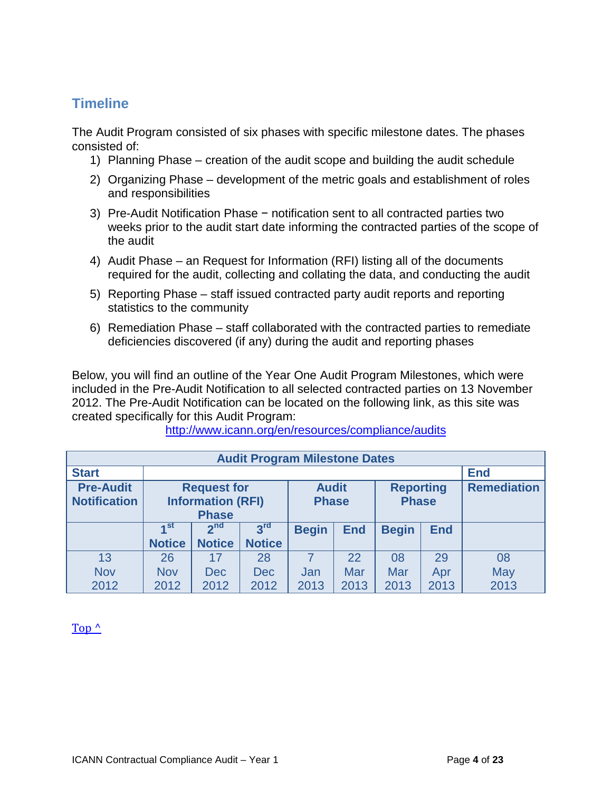# **Timeline**

The Audit Program consisted of six phases with specific milestone dates. The phases consisted of:

- 1) Planning Phase creation of the audit scope and building the audit schedule
- 2) Organizing Phase development of the metric goals and establishment of roles and responsibilities
- 3) Pre-Audit Notification Phase − notification sent to all contracted parties two weeks prior to the audit start date informing the contracted parties of the scope of the audit
- 4) Audit Phase an Request for Information (RFI) listing all of the documents required for the audit, collecting and collating the data, and conducting the audit
- 5) Reporting Phase staff issued contracted party audit reports and reporting statistics to the community
- 6) Remediation Phase staff collaborated with the contracted parties to remediate deficiencies discovered (if any) during the audit and reporting phases

Below, you will find an outline of the Year One Audit Program Milestones, which were included in the Pre-Audit Notification to all selected contracted parties on 13 November 2012. The Pre-Audit Notification can be located on the following link, as this site was created specifically for this Audit Program:

| <b>Audit Program Milestone Dates</b>    |                                                                |                 |                              |              |                                  |              |                    |            |  |
|-----------------------------------------|----------------------------------------------------------------|-----------------|------------------------------|--------------|----------------------------------|--------------|--------------------|------------|--|
| <b>Start</b>                            |                                                                |                 |                              |              |                                  |              |                    | <b>End</b> |  |
| <b>Pre-Audit</b><br><b>Notification</b> | <b>Request for</b><br><b>Information (RFI)</b><br><b>Phase</b> |                 | <b>Audit</b><br><b>Phase</b> |              | <b>Reporting</b><br><b>Phase</b> |              | <b>Remediation</b> |            |  |
|                                         | ⊿ st                                                           | 2 <sub>nd</sub> | 3 <sup>rd</sup>              | <b>Begin</b> | <b>End</b>                       | <b>Begin</b> | <b>End</b>         |            |  |
|                                         | <b>Notice</b>                                                  | <b>Notice</b>   | <b>Notice</b>                |              |                                  |              |                    |            |  |
| 13                                      | 26                                                             | 17              | 28                           |              | 22                               | 08           | 29                 | 08         |  |
| <b>Nov</b>                              | <b>Nov</b>                                                     | <b>Dec</b>      | <b>Dec</b>                   | Jan          | Mar                              | Mar          | Apr                | May        |  |
| 2012                                    | 2012                                                           | 2012            | 2012                         | 2013         | 2013                             | 2013         | 2013               | 2013       |  |

<http://www.icann.org/en/resources/compliance/audits>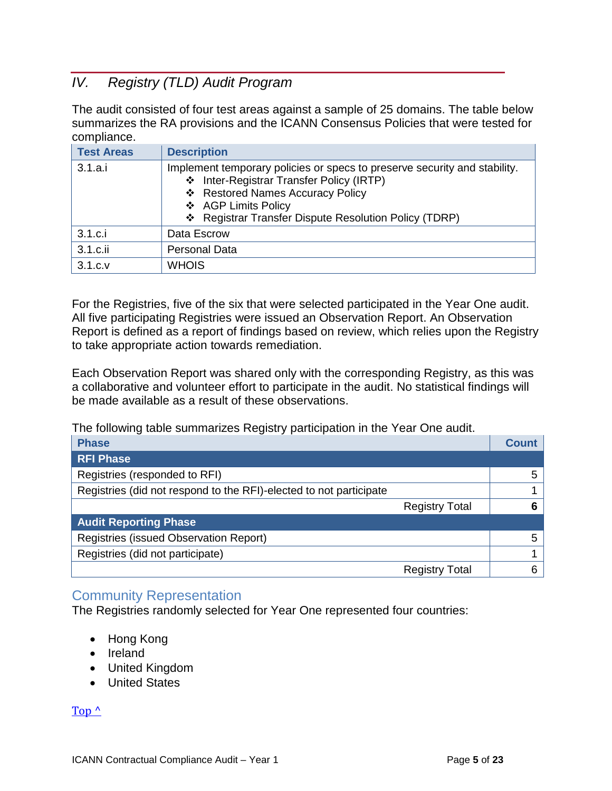# <span id="page-4-0"></span>*IV. Registry (TLD) Audit Program*

The audit consisted of four test areas against a sample of 25 domains. The table below summarizes the RA provisions and the ICANN Consensus Policies that were tested for compliance.

| <b>Test Areas</b> | <b>Description</b>                                                                                                                                                                                                                        |
|-------------------|-------------------------------------------------------------------------------------------------------------------------------------------------------------------------------------------------------------------------------------------|
| 3.1.a.i           | Implement temporary policies or specs to preserve security and stability.<br>❖ Inter-Registrar Transfer Policy (IRTP)<br>❖ Restored Names Accuracy Policy<br>❖ AGP Limits Policy<br>❖ Registrar Transfer Dispute Resolution Policy (TDRP) |
| 3.1.c.i           | Data Escrow                                                                                                                                                                                                                               |
| 3.1.c.ii          | <b>Personal Data</b>                                                                                                                                                                                                                      |
| 3.1.c.v           | <b>WHOIS</b>                                                                                                                                                                                                                              |

For the Registries, five of the six that were selected participated in the Year One audit. All five participating Registries were issued an Observation Report. An Observation Report is defined as a report of findings based on review, which relies upon the Registry to take appropriate action towards remediation.

Each Observation Report was shared only with the corresponding Registry, as this was a collaborative and volunteer effort to participate in the audit. No statistical findings will be made available as a result of these observations.

The following table summarizes Registry participation in the Year One audit.

| <b>Phase</b>                                                       | <b>Count</b>                |
|--------------------------------------------------------------------|-----------------------------|
| <b>RFI Phase</b>                                                   |                             |
| Registries (responded to RFI)                                      | 5                           |
| Registries (did not respond to the RFI)-elected to not participate |                             |
|                                                                    | <b>Registry Total</b><br>6  |
| <b>Audit Reporting Phase</b>                                       |                             |
| Registries (issued Observation Report)                             | 5                           |
| Registries (did not participate)                                   |                             |
|                                                                    | 6.<br><b>Registry Total</b> |

## Community Representation

The Registries randomly selected for Year One represented four countries:

- Hong Kong
- Ireland
- United Kingdom
- United States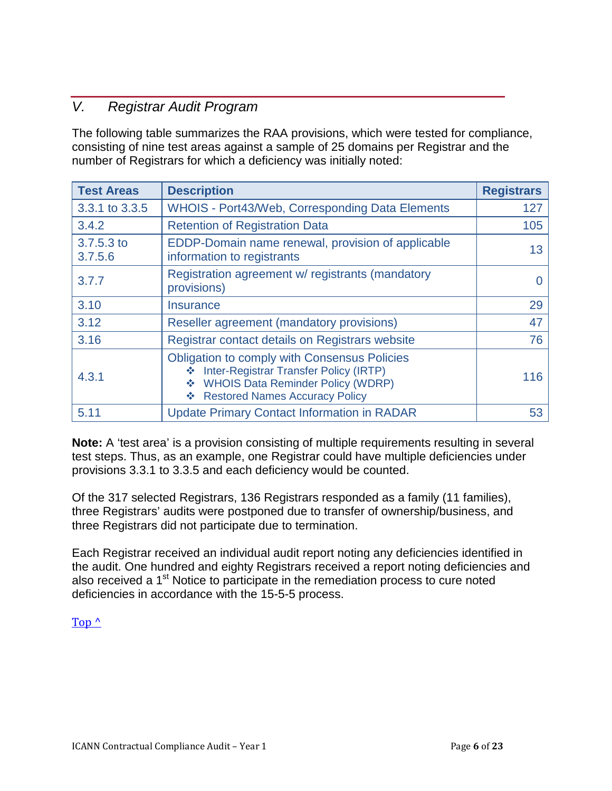# <span id="page-5-0"></span>*V. Registrar Audit Program*

The following table summarizes the RAA provisions, which were tested for compliance, consisting of nine test areas against a sample of 25 domains per Registrar and the number of Registrars for which a deficiency was initially noted:

| <b>Test Areas</b>     | <b>Description</b>                                                                                                                                                                           | <b>Registrars</b> |
|-----------------------|----------------------------------------------------------------------------------------------------------------------------------------------------------------------------------------------|-------------------|
| 3.3.1 to 3.3.5        | <b>WHOIS - Port43/Web, Corresponding Data Elements</b>                                                                                                                                       | 127               |
| 3.4.2                 | <b>Retention of Registration Data</b>                                                                                                                                                        | 105               |
| 3.7.5.3 to<br>3.7.5.6 | EDDP-Domain name renewal, provision of applicable<br>information to registrants                                                                                                              | 13                |
| 3.7.7                 | Registration agreement w/ registrants (mandatory<br>provisions)                                                                                                                              |                   |
| 3.10                  | <b>Insurance</b>                                                                                                                                                                             | 29                |
| 3.12                  | Reseller agreement (mandatory provisions)                                                                                                                                                    | 47                |
| 3.16                  | Registrar contact details on Registrars website                                                                                                                                              | 76                |
| 4.3.1                 | <b>Obligation to comply with Consensus Policies</b><br>Inter-Registrar Transfer Policy (IRTP)<br><b>WHOIS Data Reminder Policy (WDRP)</b><br>❖<br><b>Restored Names Accuracy Policy</b><br>❖ | 116               |
| 5.11                  | <b>Update Primary Contact Information in RADAR</b>                                                                                                                                           | 53                |

**Note:** A 'test area' is a provision consisting of multiple requirements resulting in several test steps. Thus, as an example, one Registrar could have multiple deficiencies under provisions 3.3.1 to 3.3.5 and each deficiency would be counted.

Of the 317 selected Registrars, 136 Registrars responded as a family (11 families), three Registrars' audits were postponed due to transfer of ownership/business, and three Registrars did not participate due to termination.

Each Registrar received an individual audit report noting any deficiencies identified in the audit. One hundred and eighty Registrars received a report noting deficiencies and also received a 1<sup>st</sup> Notice to participate in the remediation process to cure noted deficiencies in accordance with the 15-5-5 process.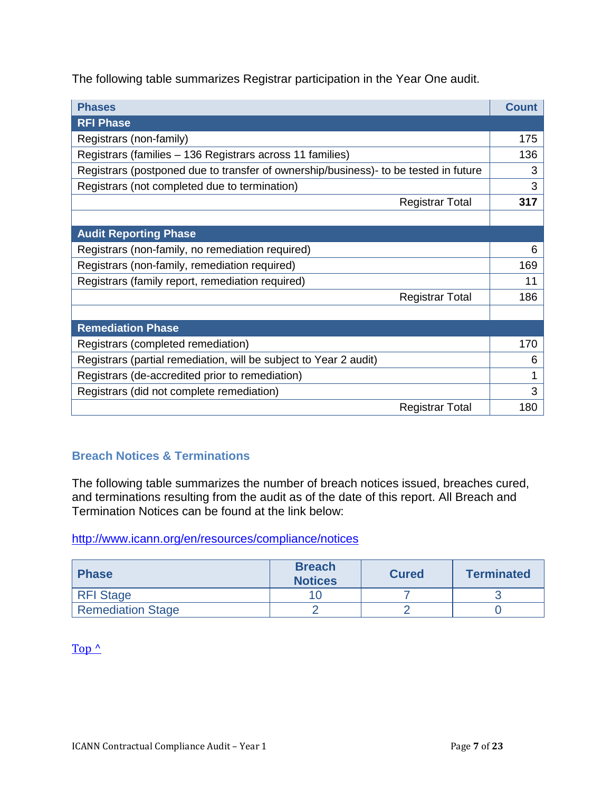The following table summarizes Registrar participation in the Year One audit.

| <b>Phases</b>                                                                        | <b>Count</b> |  |  |  |
|--------------------------------------------------------------------------------------|--------------|--|--|--|
| <b>RFI Phase</b>                                                                     |              |  |  |  |
| Registrars (non-family)                                                              | 175          |  |  |  |
| Registrars (families – 136 Registrars across 11 families)                            | 136          |  |  |  |
| Registrars (postponed due to transfer of ownership/business)- to be tested in future | 3            |  |  |  |
| Registrars (not completed due to termination)                                        | 3            |  |  |  |
| <b>Registrar Total</b>                                                               | 317          |  |  |  |
|                                                                                      |              |  |  |  |
| <b>Audit Reporting Phase</b>                                                         |              |  |  |  |
| Registrars (non-family, no remediation required)                                     | 6            |  |  |  |
| Registrars (non-family, remediation required)                                        | 169          |  |  |  |
| Registrars (family report, remediation required)                                     |              |  |  |  |
| <b>Registrar Total</b>                                                               | 186          |  |  |  |
|                                                                                      |              |  |  |  |
| <b>Remediation Phase</b>                                                             |              |  |  |  |
| Registrars (completed remediation)                                                   | 170          |  |  |  |
| Registrars (partial remediation, will be subject to Year 2 audit)                    | 6            |  |  |  |
| Registrars (de-accredited prior to remediation)                                      | 1            |  |  |  |
| Registrars (did not complete remediation)                                            | 3            |  |  |  |
| <b>Registrar Total</b>                                                               | 180          |  |  |  |

## **Breach Notices & Terminations**

The following table summarizes the number of breach notices issued, breaches cured, and terminations resulting from the audit as of the date of this report. All Breach and Termination Notices can be found at the link below:

<http://www.icann.org/en/resources/compliance/notices>

| <b>Phase</b>             | <b>Breach</b><br><b>Notices</b> | <b>Cured</b> | <b>Terminated</b> |  |
|--------------------------|---------------------------------|--------------|-------------------|--|
| <b>RFI Stage</b>         |                                 |              |                   |  |
| <b>Remediation Stage</b> |                                 |              |                   |  |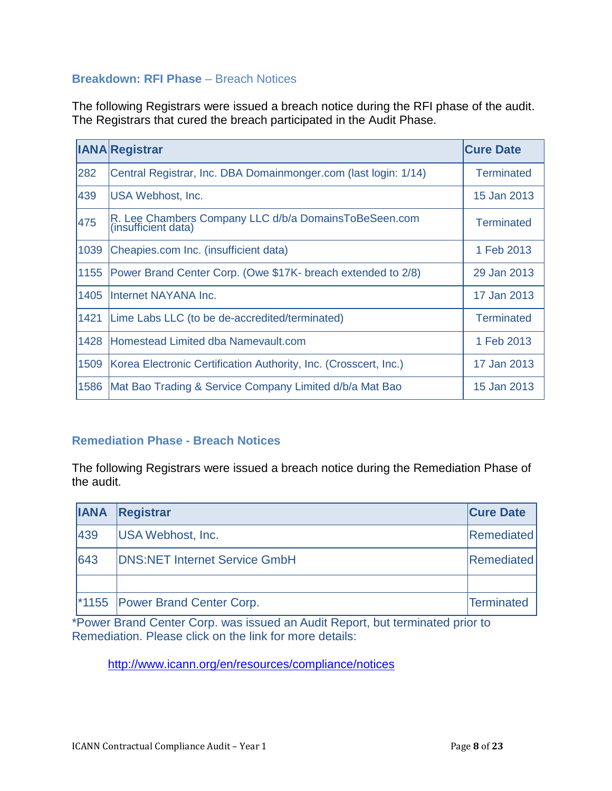### **Breakdown: RFI Phase** – Breach Notices

The following Registrars were issued a breach notice during the RFI phase of the audit. The Registrars that cured the breach participated in the Audit Phase.

|      | <b>IANA</b> Registrar                                                        | <b>Cure Date</b>  |
|------|------------------------------------------------------------------------------|-------------------|
| 282  | Central Registrar, Inc. DBA Domainmonger.com (last login: 1/14)              | Terminated        |
| 439  | USA Webhost, Inc.                                                            | 15 Jan 2013       |
| 475  | R. Lee Chambers Company LLC d/b/a DomainsToBeSeen.com<br>(insufficient data) | <b>Terminated</b> |
| 1039 | Cheapies.com Inc. (insufficient data)                                        | 1 Feb 2013        |
| 1155 | Power Brand Center Corp. (Owe \$17K- breach extended to 2/8)                 | 29 Jan 2013       |
| 1405 | Internet NAYANA Inc.                                                         | 17 Jan 2013       |
| 1421 | Lime Labs LLC (to be de-accredited/terminated)                               | Terminated        |
| 1428 | Homestead Limited dba Namevault.com                                          | 1 Feb 2013        |
| 1509 | Korea Electronic Certification Authority, Inc. (Crosscert, Inc.)             | 17 Jan 2013       |
| 1586 | Mat Bao Trading & Service Company Limited d/b/a Mat Bao                      | 15 Jan 2013       |

### **Remediation Phase - Breach Notices**

The following Registrars were issued a breach notice during the Remediation Phase of the audit.

| <b>IANA</b> | Registrar                                  | <b>Cure Date</b>  |
|-------------|--------------------------------------------|-------------------|
| 439         | USA Webhost, Inc.                          | <b>Remediated</b> |
| 643         | <b>DNS:NET Internet Service GmbH</b>       | <b>Remediated</b> |
|             |                                            |                   |
|             | <sup>*</sup> 1155 Power Brand Center Corp. | Terminated        |

\*Power Brand Center Corp. was issued an Audit Report, but terminated prior to Remediation. Please click on the link for more details:

<http://www.icann.org/en/resources/compliance/notices>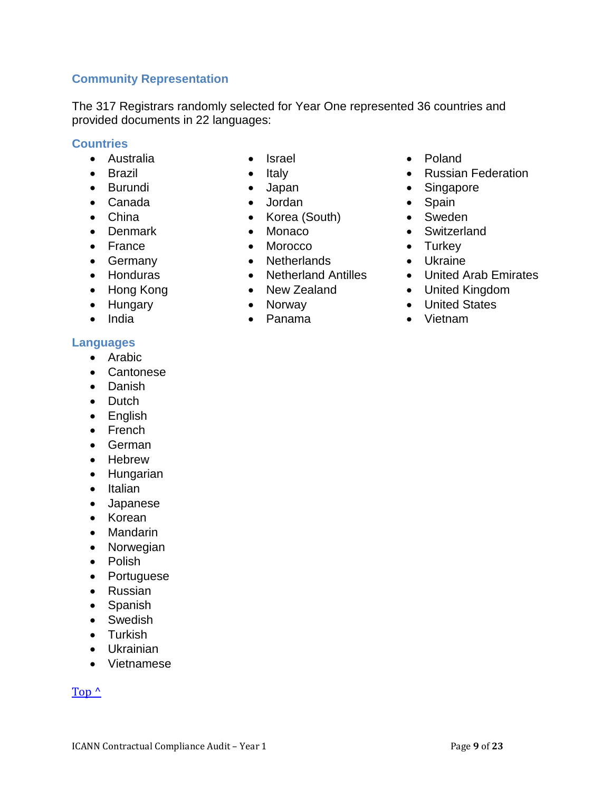## **Community Representation**

The 317 Registrars randomly selected for Year One represented 36 countries and provided documents in 22 languages:

### **Countries**

- Australia
- Brazil
- Burundi
- Canada
- China
- Denmark
- France
- Germany
- Honduras
- Hong Kong
- Hungary
- India

#### **Languages**

- Arabic
- Cantonese
- Danish
- Dutch
- English
- French
- German
- Hebrew
- Hungarian
- Italian
- Japanese
- Korean
- Mandarin
- Norwegian
- Polish
- Portuguese
- Russian
- Spanish
- Swedish
- Turkish
- Ukrainian
- Vietnamese

- Israel
- Italy
- Japan
- 
- Korea (South)
- Monaco
- Morocco
- Netherlands
- Netherland Antilles
- New Zealand
- Norway
- 
- Poland
- Russian Federation
- Singapore
- Spain
- Sweden
- Switzerland
- Turkey
- Ukraine
- United Arab Emirates
- United Kingdom
- United States
- Vietnam
- 
- Panama
- Jordan
- 
- 
-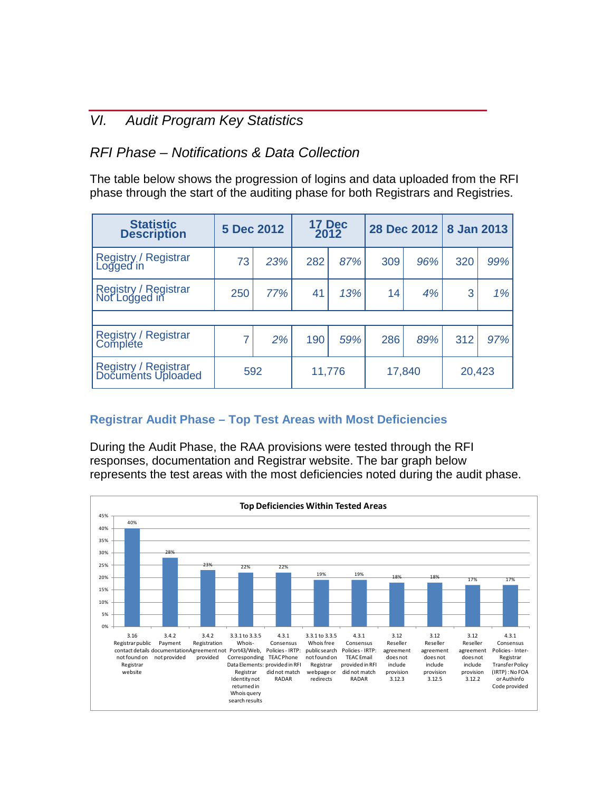# <span id="page-9-0"></span>*VI. Audit Program Key Statistics*

# *RFI Phase – Notifications & Data Collection*

The table below shows the progression of logins and data uploaded from the RFI phase through the start of the auditing phase for both Registrars and Registries.

| <b>Statistic</b><br><b>Description</b>            | 5 Dec 2012 |     | 17 Dec<br>2012 |        | 28 Dec 2012 |        | 8 Jan 2013 |     |
|---------------------------------------------------|------------|-----|----------------|--------|-------------|--------|------------|-----|
| Registry / Registrar<br>Logged in                 | 73         | 23% | 282            | 87%    | 309         | 96%    | 320        | 99% |
| Registry / Registrar<br>Not Logged in             | 250        | 77% | 41             | 13%    | 14          | 4%     | 3          | 1%  |
|                                                   |            |     |                |        |             |        |            |     |
| Registry / Registrar<br>Complete                  |            | 2%  | 190            | 59%    | 286         | 89%    | 312        | 97% |
| Registry / Registrar<br>Documents Uploaded<br>592 |            |     |                | 11,776 |             | 17,840 | 20,423     |     |

## **Registrar Audit Phase – Top Test Areas with Most Deficiencies**

During the Audit Phase, the RAA provisions were tested through the RFI responses, documentation and Registrar website. The bar graph below represents the test areas with the most deficiencies noted during the audit phase.

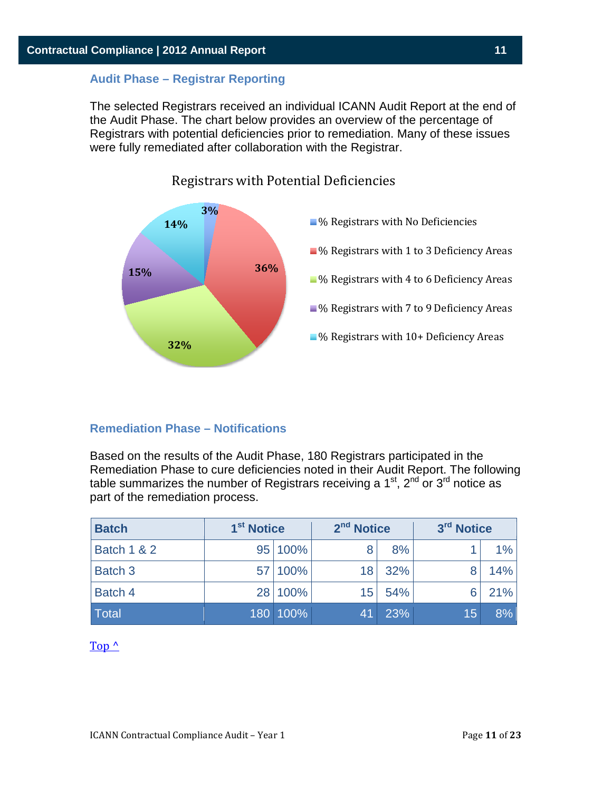#### **Audit Phase – Registrar Reporting**

The selected Registrars received an individual ICANN Audit Report at the end of the Audit Phase. The chart below provides an overview of the percentage of Registrars with potential deficiencies prior to remediation. Many of these issues were fully remediated after collaboration with the Registrar.



Registrars with Potential Deficiencies

#### **Remediation Phase – Notifications**

Based on the results of the Audit Phase, 180 Registrars participated in the Remediation Phase to cure deficiencies noted in their Audit Report. The following table summarizes the number of Registrars receiving a  $1<sup>st</sup>$ ,  $2<sup>nd</sup>$  or  $3<sup>rd</sup>$  notice as part of the remediation process.

| <b>Batch</b>           | 1 <sup>st</sup> Notice |          | 2 <sup>nd</sup> Notice |     | 3rd Notice |       |
|------------------------|------------------------|----------|------------------------|-----|------------|-------|
| <b>Batch 1 &amp; 2</b> |                        | 95 100%  | 8                      | 8%  |            | $1\%$ |
| Batch 3                |                        | 57 100%  | 18                     | 32% |            | 14%   |
| Batch 4                |                        | 28 100%  | 15                     | 54% |            | 21%   |
| Total                  |                        | 180 100% | 41                     | 23% | 15         | 8%    |

 $Top<sup>^</sup>$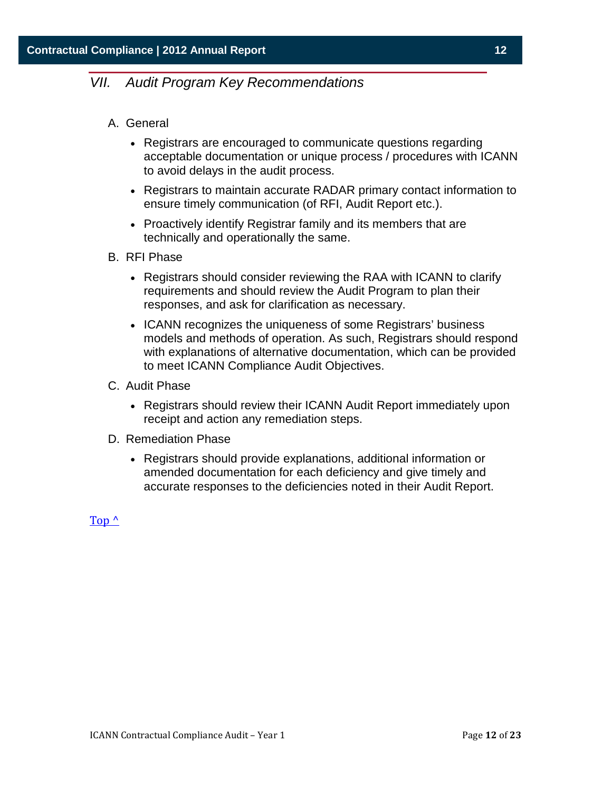## <span id="page-11-0"></span>*VII. Audit Program Key Recommendations*

- A. General
	- Registrars are encouraged to communicate questions regarding acceptable documentation or unique process / procedures with ICANN to avoid delays in the audit process.
	- Registrars to maintain accurate RADAR primary contact information to ensure timely communication (of RFI, Audit Report etc.).
	- Proactively identify Registrar family and its members that are technically and operationally the same.
- B. RFI Phase
	- Registrars should consider reviewing the RAA with ICANN to clarify requirements and should review the Audit Program to plan their responses, and ask for clarification as necessary.
	- ICANN recognizes the uniqueness of some Registrars' business models and methods of operation. As such, Registrars should respond with explanations of alternative documentation, which can be provided to meet ICANN Compliance Audit Objectives.
- C. Audit Phase
	- Registrars should review their ICANN Audit Report immediately upon receipt and action any remediation steps.
- D. Remediation Phase
	- Registrars should provide explanations, additional information or amended documentation for each deficiency and give timely and accurate responses to the deficiencies noted in their Audit Report.

 $Top<sup>^</sup>$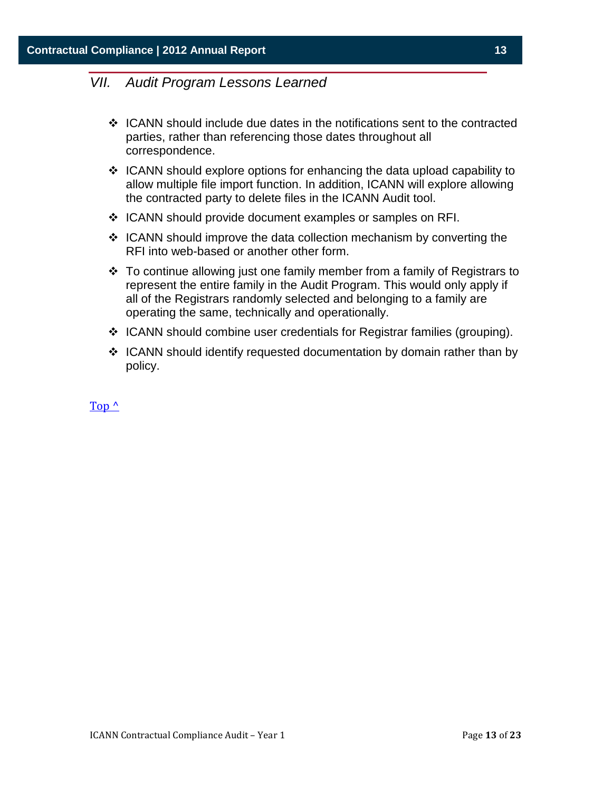## <span id="page-12-0"></span>*VII. Audit Program Lessons Learned*

- $\div$  ICANN should include due dates in the notifications sent to the contracted parties, rather than referencing those dates throughout all correspondence.
- $\div$  ICANN should explore options for enhancing the data upload capability to allow multiple file import function. In addition, ICANN will explore allowing the contracted party to delete files in the ICANN Audit tool.
- ❖ ICANN should provide document examples or samples on RFI.
- $\div$  ICANN should improve the data collection mechanism by converting the RFI into web-based or another other form.
- $\cdot$  To continue allowing just one family member from a family of Registrars to represent the entire family in the Audit Program. This would only apply if all of the Registrars randomly selected and belonging to a family are operating the same, technically and operationally.
- $\div$  ICANN should combine user credentials for Registrar families (grouping).
- $\div$  ICANN should identify requested documentation by domain rather than by policy.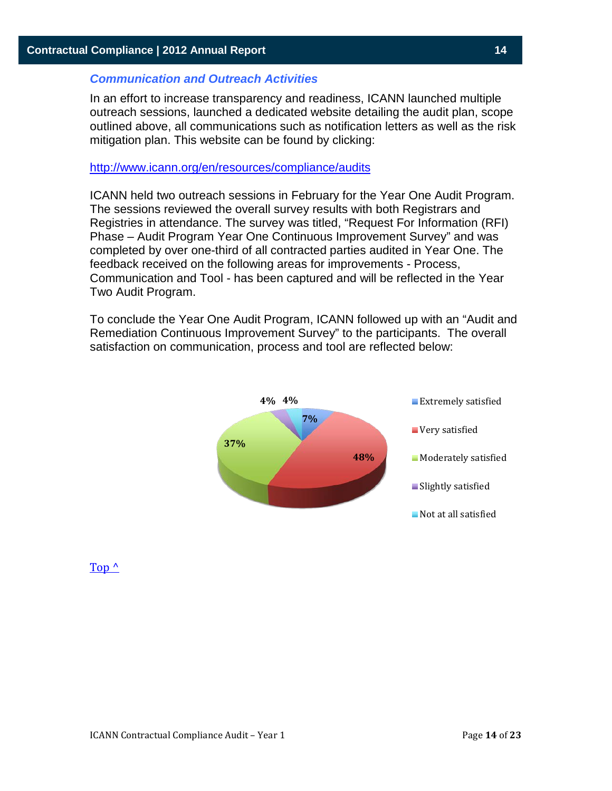#### *Communication and Outreach Activities*

In an effort to increase transparency and readiness, ICANN launched multiple outreach sessions, launched a dedicated website detailing the audit plan, scope outlined above, all communications such as notification letters as well as the risk mitigation plan. This website can be found by clicking:

#### <http://www.icann.org/en/resources/compliance/audits>

ICANN held two outreach sessions in February for the Year One Audit Program. The sessions reviewed the overall survey results with both Registrars and Registries in attendance. The survey was titled, "Request For Information (RFI) Phase – Audit Program Year One Continuous Improvement Survey" and was completed by over one-third of all contracted parties audited in Year One. The feedback received on the following areas for improvements - Process, Communication and Tool - has been captured and will be reflected in the Year Two Audit Program.

To conclude the Year One Audit Program, ICANN followed up with an "Audit and Remediation Continuous Improvement Survey" to the participants. The overall satisfaction on communication, process and tool are reflected below:

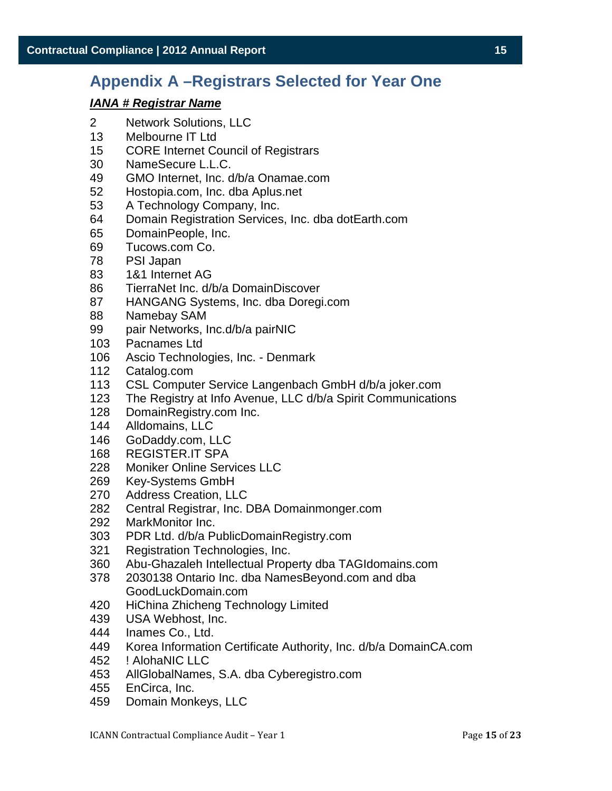# <span id="page-14-0"></span>**Appendix A –Registrars Selected for Year One**

- Network Solutions, LLC
- Melbourne IT Ltd
- CORE Internet Council of Registrars
- NameSecure L.L.C.
- GMO Internet, Inc. d/b/a Onamae.com
- Hostopia.com, Inc. dba Aplus.net
- A Technology Company, Inc.
- Domain Registration Services, Inc. dba dotEarth.com
- DomainPeople, Inc.
- Tucows.com Co.
- PSI Japan
- 1&1 Internet AG
- TierraNet Inc. d/b/a DomainDiscover
- HANGANG Systems, Inc. dba Doregi.com
- Namebay SAM
- pair Networks, Inc.d/b/a pairNIC
- Pacnames Ltd
- Ascio Technologies, Inc. Denmark
- Catalog.com
- 113 CSL Computer Service Langenbach GmbH d/b/a joker.com<br>123 The Registry at Info Avenue, LLC d/b/a Spirit Communicatio
- The Registry at Info Avenue, LLC d/b/a Spirit Communications
- 128 DomainRegistry.com Inc.<br>144 Alldomains. LLC
- Alldomains, LLC
- GoDaddy.com, LLC
- REGISTER.IT SPA
- Moniker Online Services LLC
- Key-Systems GmbH
- Address Creation, LLC
- 282 Central Registrar, Inc. DBA Domainmonger.com<br>292 MarkMonitor Inc.
- MarkMonitor Inc.
- PDR Ltd. d/b/a PublicDomainRegistry.com
- Registration Technologies, Inc.
- Abu-Ghazaleh Intellectual Property dba TAGIdomains.com
- 2030138 Ontario Inc. dba NamesBeyond.com and dba GoodLuckDomain.com
- HiChina Zhicheng Technology Limited
- USA Webhost, Inc.
- Inames Co., Ltd.
- Korea Information Certificate Authority, Inc. d/b/a DomainCA.com
- ! AlohaNIC LLC
- AllGlobalNames, S.A. dba Cyberegistro.com
- EnCirca, Inc.
- Domain Monkeys, LLC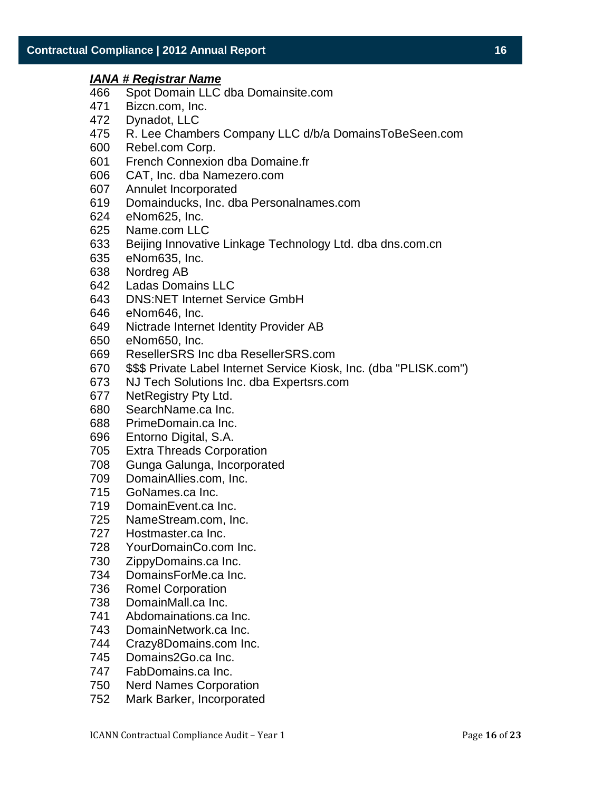- Spot Domain LLC dba Domainsite.com
- Bizcn.com, Inc.
- Dynadot, LLC
- R. Lee Chambers Company LLC d/b/a DomainsToBeSeen.com
- Rebel.com Corp.
- French Connexion dba Domaine.fr
- CAT, Inc. dba Namezero.com
- Annulet Incorporated
- Domainducks, Inc. dba Personalnames.com
- eNom625, Inc.
- Name.com LLC
- Beijing Innovative Linkage Technology Ltd. dba dns.com.cn
- eNom635, Inc.
- Nordreg AB
- Ladas Domains LLC
- DNS:NET Internet Service GmbH
- eNom646, Inc.
- Nictrade Internet Identity Provider AB
- eNom650, Inc.
- ResellerSRS Inc dba ResellerSRS.com
- \$\$\$ Private Label Internet Service Kiosk, Inc. (dba "PLISK.com")
- NJ Tech Solutions Inc. dba Expertsrs.com
- NetRegistry Pty Ltd.
- SearchName.ca Inc.
- PrimeDomain.ca Inc.
- Entorno Digital, S.A.
- Extra Threads Corporation
- Gunga Galunga, Incorporated
- DomainAllies.com, Inc.
- GoNames.ca Inc.
- DomainEvent.ca Inc.
- NameStream.com, Inc.
- Hostmaster.ca Inc.
- YourDomainCo.com Inc.
- ZippyDomains.ca Inc.
- DomainsForMe.ca Inc.
- Romel Corporation
- DomainMall.ca Inc.
- Abdomainations.ca Inc.
- DomainNetwork.ca Inc.
- Crazy8Domains.com Inc.
- Domains2Go.ca Inc.
- FabDomains.ca Inc.
- Nerd Names Corporation
- Mark Barker, Incorporated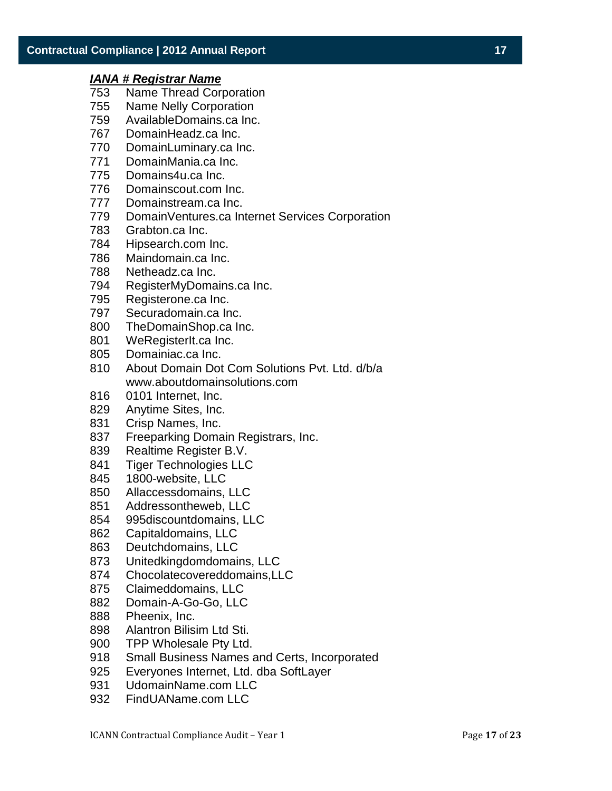- Name Thread Corporation
- Name Nelly Corporation
- AvailableDomains.ca Inc.
- DomainHeadz.ca Inc.
- DomainLuminary.ca Inc.
- DomainMania.ca Inc.
- Domains4u.ca Inc.
- Domainscout.com Inc.
- Domainstream.ca Inc.
- DomainVentures.ca Internet Services Corporation
- Grabton.ca Inc.
- Hipsearch.com Inc.
- Maindomain.ca Inc.
- Netheadz.ca Inc.
- RegisterMyDomains.ca Inc.
- Registerone.ca Inc.
- Securadomain.ca Inc.
- TheDomainShop.ca Inc.
- WeRegisterIt.ca Inc.
- Domainiac.ca Inc.
- About Domain Dot Com Solutions Pvt. Ltd. d/b/a www.aboutdomainsolutions.com
- 0101 Internet, Inc.
- Anytime Sites, Inc.
- Crisp Names, Inc.
- Freeparking Domain Registrars, Inc.
- Realtime Register B.V.
- Tiger Technologies LLC
- 1800-website, LLC
- Allaccessdomains, LLC
- Addressontheweb, LLC
- 995discountdomains, LLC
- Capitaldomains, LLC
- Deutchdomains, LLC
- Unitedkingdomdomains, LLC
- Chocolatecovereddomains,LLC
- Claimeddomains, LLC
- Domain-A-Go-Go, LLC
- Pheenix, Inc.
- Alantron Bilisim Ltd Sti.
- TPP Wholesale Pty Ltd.
- Small Business Names and Certs, Incorporated
- Everyones Internet, Ltd. dba SoftLayer
- UdomainName.com LLC
- FindUAName.com LLC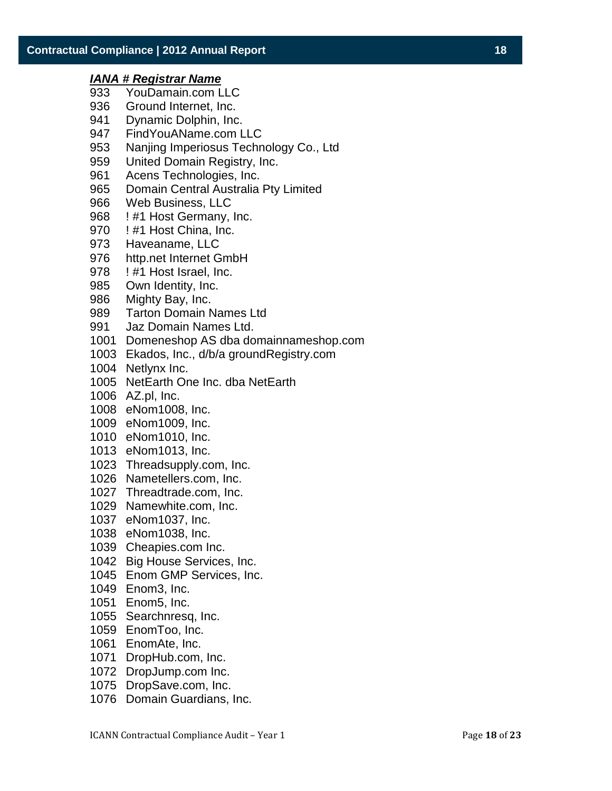- YouDamain.com LLC
- Ground Internet, Inc.
- Dynamic Dolphin, Inc.
- FindYouAName.com LLC
- Nanjing Imperiosus Technology Co., Ltd
- United Domain Registry, Inc.
- Acens Technologies, Inc.
- Domain Central Australia Pty Limited
- Web Business, LLC
- ! #1 Host Germany, Inc.
- 970 ! #1 Host China, Inc.
- Haveaname, LLC
- http.net Internet GmbH
- 978 ! #1 Host Israel, Inc.
- Own Identity, Inc.
- Mighty Bay, Inc.
- Tarton Domain Names Ltd
- Jaz Domain Names Ltd.
- Domeneshop AS dba domainnameshop.com
- Ekados, Inc., d/b/a groundRegistry.com
- Netlynx Inc.
- NetEarth One Inc. dba NetEarth
- AZ.pl, Inc.
- eNom1008, Inc.
- eNom1009, Inc.
- eNom1010, Inc.
- eNom1013, Inc.
- Threadsupply.com, Inc.
- Nametellers.com, Inc.
- Threadtrade.com, Inc.
- Namewhite.com, Inc.
- eNom1037, Inc.
- eNom1038, Inc.
- Cheapies.com Inc.
- Big House Services, Inc.
- Enom GMP Services, Inc.
- Enom3, Inc.
- Enom5, Inc.
- Searchnresq, Inc.
- EnomToo, Inc.
- EnomAte, Inc.
- DropHub.com, Inc.
- DropJump.com Inc.
- DropSave.com, Inc.
- Domain Guardians, Inc.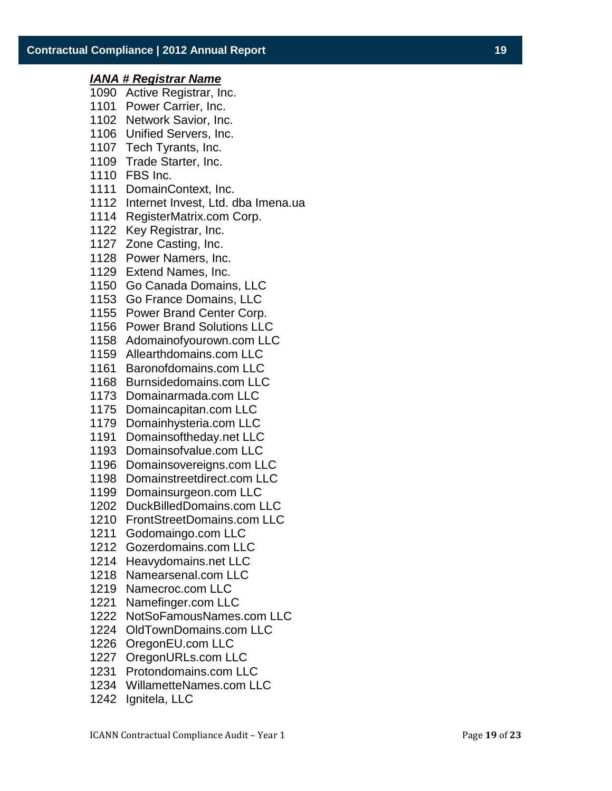- Active Registrar, Inc.
- Power Carrier, Inc.
- Network Savior, Inc.
- Unified Servers, Inc.
- Tech Tyrants, Inc.
- Trade Starter, Inc.
- FBS Inc.
- DomainContext, Inc.
- Internet Invest, Ltd. dba Imena.ua
- RegisterMatrix.com Corp.
- Key Registrar, Inc.
- Zone Casting, Inc.
- Power Namers, Inc.
- Extend Names, Inc.
- Go Canada Domains, LLC
- Go France Domains, LLC
- Power Brand Center Corp.
- Power Brand Solutions LLC
- Adomainofyourown.com LLC
- Allearthdomains.com LLC
- Baronofdomains.com LLC
- Burnsidedomains.com LLC
- Domainarmada.com LLC
- Domaincapitan.com LLC
- Domainhysteria.com LLC
- Domainsoftheday.net LLC
- Domainsofvalue.com LLC
- Domainsovereigns.com LLC
- Domainstreetdirect.com LLC
- Domainsurgeon.com LLC
- DuckBilledDomains.com LLC
- FrontStreetDomains.com LLC
- Godomaingo.com LLC
- Gozerdomains.com LLC
- Heavydomains.net LLC
- Namearsenal.com LLC
- Namecroc.com LLC
- Namefinger.com LLC
- NotSoFamousNames.com LLC
- OldTownDomains.com LLC
- OregonEU.com LLC
- OregonURLs.com LLC
- Protondomains.com LLC
- WillametteNames.com LLC
- Ignitela, LLC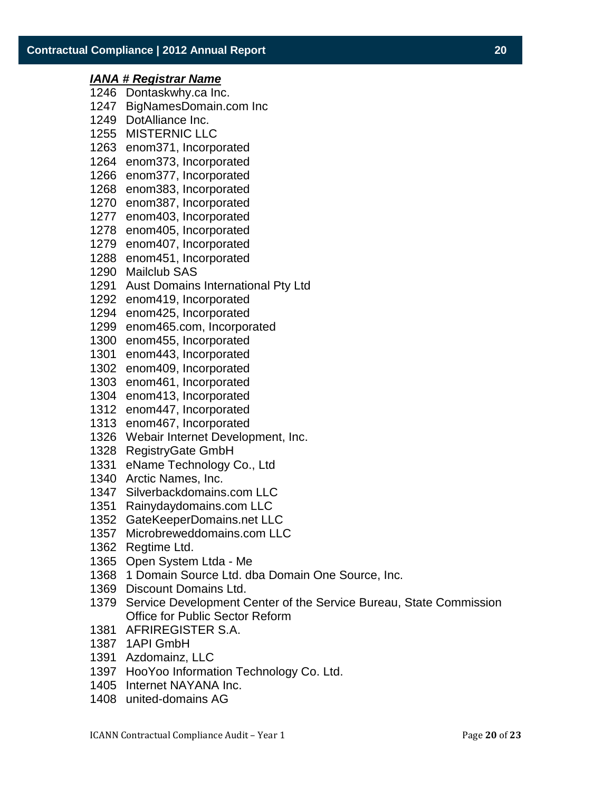## *IANA # Registrar Name* Dontaskwhy.ca Inc. BigNamesDomain.com Inc DotAlliance Inc. MISTERNIC LLC enom371, Incorporated enom373, Incorporated enom377, Incorporated enom383, Incorporated enom387, Incorporated enom403, Incorporated enom405, Incorporated enom407, Incorporated enom451, Incorporated Mailclub SAS Aust Domains International Pty Ltd enom419, Incorporated enom425, Incorporated enom465.com, Incorporated enom455, Incorporated enom443, Incorporated enom409, Incorporated enom461, Incorporated enom413, Incorporated enom447, Incorporated enom467, Incorporated Webair Internet Development, Inc. RegistryGate GmbH eName Technology Co., Ltd Arctic Names, Inc. Silverbackdomains.com LLC Rainydaydomains.com LLC GateKeeperDomains.net LLC Microbreweddomains.com LLC Regtime Ltd. Open System Ltda - Me 1 Domain Source Ltd. dba Domain One Source, Inc. Discount Domains Ltd. Service Development Center of the Service Bureau, State Commission Office for Public Sector Reform

- AFRIREGISTER S.A.
- 1API GmbH
- Azdomainz, LLC
- HooYoo Information Technology Co. Ltd.
- Internet NAYANA Inc.
- united-domains AG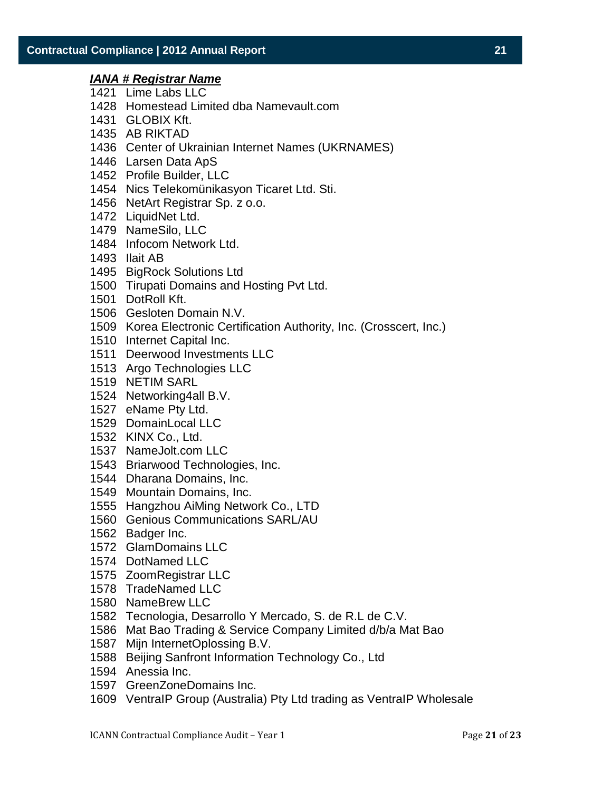- Lime Labs LLC
- Homestead Limited dba Namevault.com
- GLOBIX Kft.
- AB RIKTAD
- Center of Ukrainian Internet Names (UKRNAMES)
- Larsen Data ApS
- Profile Builder, LLC
- Nics Telekomünikasyon Ticaret Ltd. Sti.
- NetArt Registrar Sp. z o.o.
- LiquidNet Ltd.
- NameSilo, LLC
- Infocom Network Ltd.
- Ilait AB
- BigRock Solutions Ltd
- Tirupati Domains and Hosting Pvt Ltd.
- DotRoll Kft.
- Gesloten Domain N.V.
- Korea Electronic Certification Authority, Inc. (Crosscert, Inc.)
- Internet Capital Inc.
- Deerwood Investments LLC
- Argo Technologies LLC
- NETIM SARL
- Networking4all B.V.
- eName Pty Ltd.
- DomainLocal LLC
- KINX Co., Ltd.
- NameJolt.com LLC
- Briarwood Technologies, Inc.
- Dharana Domains, Inc.
- Mountain Domains, Inc.
- Hangzhou AiMing Network Co., LTD
- Genious Communications SARL/AU
- Badger Inc.
- GlamDomains LLC
- DotNamed LLC
- ZoomRegistrar LLC
- TradeNamed LLC
- NameBrew LLC
- Tecnologia, Desarrollo Y Mercado, S. de R.L de C.V.
- Mat Bao Trading & Service Company Limited d/b/a Mat Bao
- Mijn InternetOplossing B.V.
- Beijing Sanfront Information Technology Co., Ltd
- Anessia Inc.
- GreenZoneDomains Inc.
- VentraIP Group (Australia) Pty Ltd trading as VentraIP Wholesale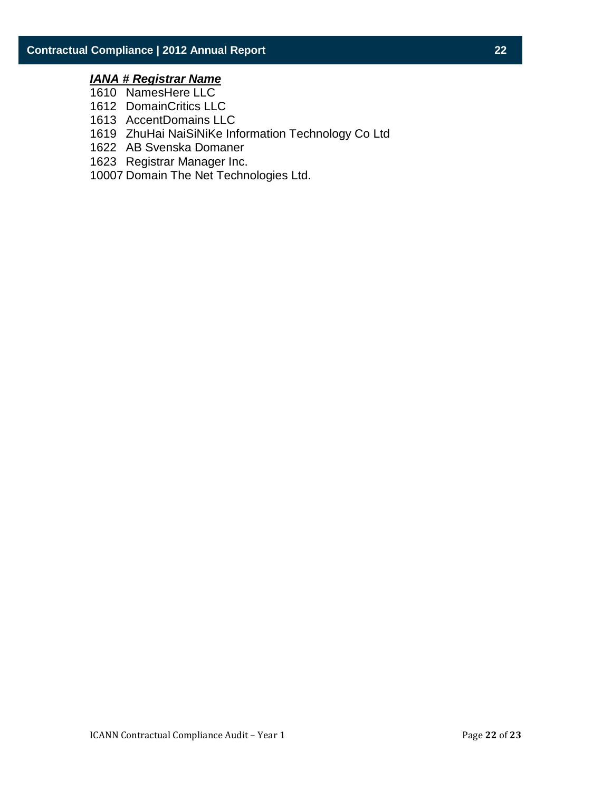- NamesHere LLC
- DomainCritics LLC
- AccentDomains LLC
- ZhuHai NaiSiNiKe Information Technology Co Ltd
- AB Svenska Domaner
- Registrar Manager Inc.
- Domain The Net Technologies Ltd.